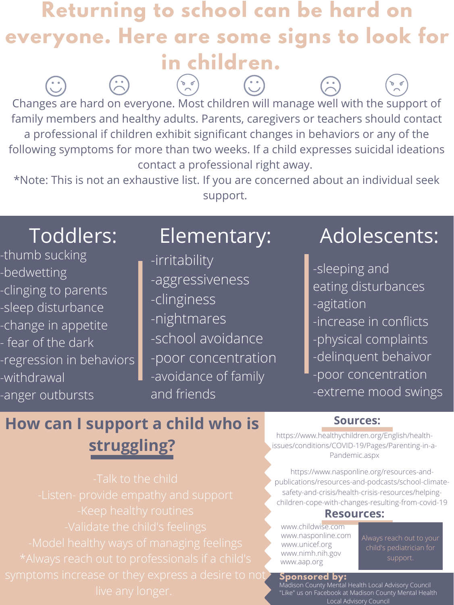Changes are hard on everyone. Most children will manage well with the support of family members and healthy adults. Parents, caregivers or teachers should contact a professional if children exhibit significant changes in behaviors or any of the following symptoms for more than two weeks. If a child expresses suicidal ideations contact a professional right away.

## **Returning to school can be hard on everyone. Here are some signs to look for in children.**  $(20)$  $\left(\cdot\right)$ Da

\*Note: This is not an exhaustive list. If you are concerned about an individual seek support.

### **Sponsored by:**

- -thumb sucking
- -bedwetting
- -clinging to parents
- -sleep disturbance

-change in appetite - fear of the dark -regression in behaviors -withdrawal -anger outbursts

- -irritability -aggressiveness -clinginess
	-

-nightmares -school avoidance -poor concentration -avoidance of family and friends

-sleeping and eating disturbances -agitation -increase in conflicts -physical complaints -delinquent behaivor -poor concentration -extreme mood swings

-Talk to the child -Keep healthy routines -Model healthy ways of managing feelings \*Always reach out to professionals if a child's symptoms increase or they express a desire to not

Toddlers: Elementary: Adolescents:

# **How can I support a child who is struggling?**

## **Sources:**

https://www.healthychildren.org/English/healthissues/conditions/COVID-19/Pages/Parenting-in-a-Pandemic.aspx

https://www.nasponline.org/resources-andpublications/resources-and-podcasts/school-climatesafety-and-crisis/health-crisis-resources/helpingchildren-cope-with-changes-resulting-from-covid-19

## **Resources:**

www.childwise.com www.nasponline.com www.unicef.org www.nimh.nih.gov www.aap.org

Always reach out to your child's pediatrician for support.

Madison County Mental Health Local Advisory Council "Like" us on Facebook at Madison County Mental Health Local Advisory Council